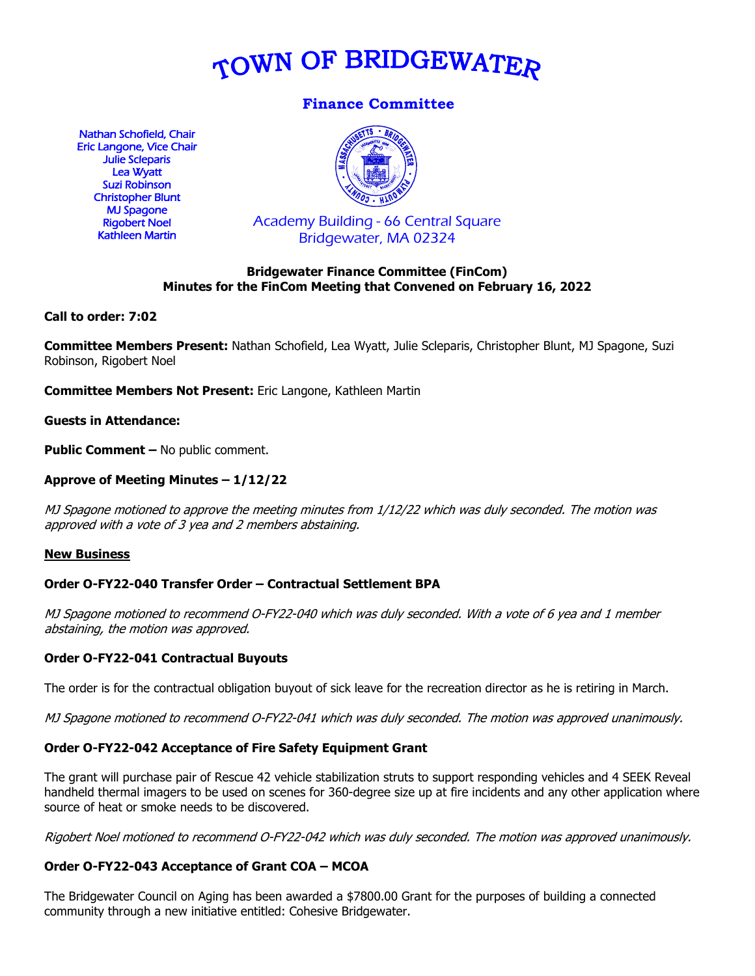

# **Finance Committee**

Nathan Schofield, Chair Eric Langone, Vice Chair Julie Scleparis Lea Wyatt Suzi Robinson Christopher Blunt MJ Spagone Rigobert Noel Kathleen Martin



Academy Building - 66 Central Square Bridgewater, MA 02324

# **Bridgewater Finance Committee (FinCom) Minutes for the FinCom Meeting that Convened on February 16, 2022**

### **Call to order: 7:02**

**Committee Members Present:** Nathan Schofield, Lea Wyatt, Julie Scleparis, Christopher Blunt, MJ Spagone, Suzi Robinson, Rigobert Noel

**Committee Members Not Present:** Eric Langone, Kathleen Martin

**Guests in Attendance:**

**Public Comment –** No public comment.

### **Approve of Meeting Minutes – 1/12/22**

MJ Spagone motioned to approve the meeting minutes from 1/12/22 which was duly seconded. The motion was approved with a vote of 3 yea and 2 members abstaining.

#### **New Business**

#### **Order O-FY22-040 Transfer Order – Contractual Settlement BPA**

MJ Spagone motioned to recommend O-FY22-040 which was duly seconded. With a vote of 6 yea and 1 member abstaining, the motion was approved.

#### **Order O-FY22-041 Contractual Buyouts**

The order is for the contractual obligation buyout of sick leave for the recreation director as he is retiring in March.

MJ Spagone motioned to recommend O-FY22-041 which was duly seconded. The motion was approved unanimously.

#### **Order O-FY22-042 Acceptance of Fire Safety Equipment Grant**

The grant will purchase pair of Rescue 42 vehicle stabilization struts to support responding vehicles and 4 SEEK Reveal handheld thermal imagers to be used on scenes for 360-degree size up at fire incidents and any other application where source of heat or smoke needs to be discovered.

Rigobert Noel motioned to recommend O-FY22-042 which was duly seconded. The motion was approved unanimously.

# **Order O-FY22-043 Acceptance of Grant COA – MCOA**

The Bridgewater Council on Aging has been awarded a \$7800.00 Grant for the purposes of building a connected community through a new initiative entitled: Cohesive Bridgewater.